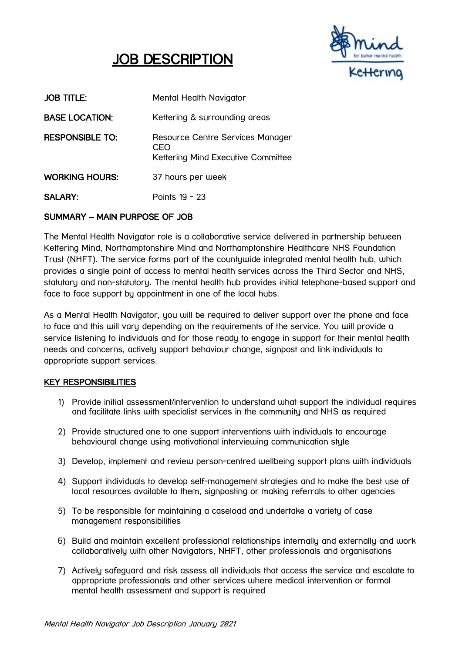## Í JOB DESCRIPTION



| <b>JOB TITLE:</b>      | Mental Health Navigator                                                       |
|------------------------|-------------------------------------------------------------------------------|
| <b>BASE LOCATION:</b>  | Kettering & surrounding areas                                                 |
| <b>RESPONSIBLE TO:</b> | Resource Centre Services Manager<br>CFO<br>Kettering Mind Executive Committee |
| <b>WORKING HOURS:</b>  | 37 hours per week                                                             |
| <b>SALARY:</b>         | Points 19 - 23                                                                |

# SUMMARY – MAIN PURPOSE OF JOB

The Mental Health Navigator role is a collaborative service delivered in partnership between Kettering Mind, Northamptonshire Mind and Northamptonshire Healthcare NHS Foundation Trust (NHFT). The service forms part of the countywide integrated mental health hub, which provides a single point of access to mental health services across the Third Sector and NHS, statutory and non-statutory. The mental health hub provides initial telephone-based support and face to face support by appointment in one of the local hubs.

As a Mental Health Navigator, you will be required to deliver support over the phone and face to face and this will vary depending on the requirements of the service. You will provide a service listening to individuals and for those ready to engage in support for their mental health needs and concerns, actively support behaviour change, signpost and link individuals to appropriate support services.

## KEY RESPONSIBILITIES

- 1) Provide initial assessment/intervention to understand what support the individual requires and facilitate links with specialist services in the community and NHS as required
- 2) Provide structured one to one support interventions with individuals to encourage behavioural change using motivational interviewing communication style
- 3) Develop, implement and review person-centred wellbeing support plans with individuals
- 4) Support individuals to develop self-management strategies and to make the best use of local resources available to them, signposting or making referrals to other agencies
- 5) To be responsible for maintaining a caseload and undertake a variety of case management responsibilities
- 6) Build and maintain excellent professional relationships internally and externally and work collaboratively with other Navigators, NHFT, other professionals and organisations
- 7) Actively safeguard and risk assess all individuals that access the service and escalate to appropriate professionals and other services where medical intervention or formal mental health assessment and support is required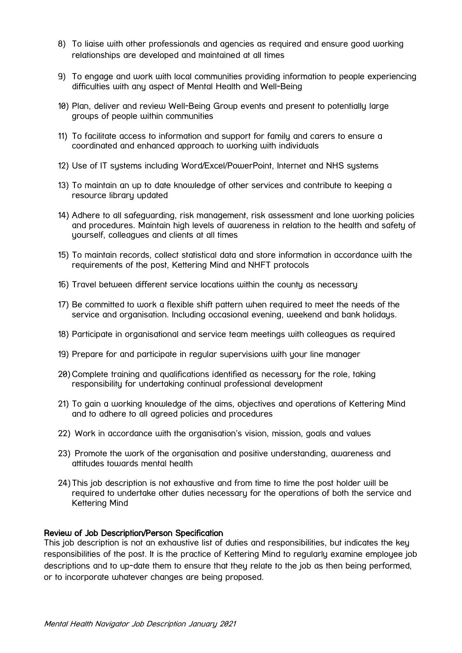- 8) To liaise with other professionals and agencies as required and ensure good working relationships are developed and maintained at all times
- 9) To engage and work with local communities providing information to people experiencing difficulties with any aspect of Mental Health and Well-Being
- 10) Plan, deliver and review Well-Being Group events and present to potentially large groups of people within communities
- 11) To facilitate access to information and support for family and carers to ensure a coordinated and enhanced approach to working with individuals
- 12) Use of IT systems including Word/Excel/PowerPoint, Internet and NHS systems
- 13) To maintain an up to date knowledge of other services and contribute to keeping a resource library updated
- 14) Adhere to all safeguarding, risk management, risk assessment and lone working policies and procedures. Maintain high levels of awareness in relation to the health and safety of yourself, colleagues and clients at all times
- 15) To maintain records, collect statistical data and store information in accordance with the requirements of the post, Kettering Mind and NHFT protocols
- 16) Travel between different service locations within the county as necessary
- 17) Be committed to work a flexible shift pattern when required to meet the needs of the service and organisation. Including occasional evening, weekend and bank holidays.
- 18) Participate in organisational and service team meetings with colleagues as required
- 19) Prepare for and participate in regular supervisions with your line manager
- 20) Complete training and qualifications identified as necessary for the role, taking responsibility for undertaking continual professional development
- 21) To gain a working knowledge of the aims, objectives and operations of Kettering Mind and to adhere to all agreed policies and procedures
- 22) Work in accordance with the organisation's vision, mission, goals and values
- 23) Promote the work of the organisation and positive understanding, awareness and attitudes towards mental health
- 24) This job description is not exhaustive and from time to time the post holder will be required to undertake other duties necessary for the operations of both the service and Kettering Mind

## Review of Job Description/Person Specification

This job description is not an exhaustive list of duties and responsibilities, but indicates the key responsibilities of the post. It is the practice of Kettering Mind to regularly examine employee job descriptions and to up-date them to ensure that they relate to the job as then being performed, or to incorporate whatever changes are being proposed.